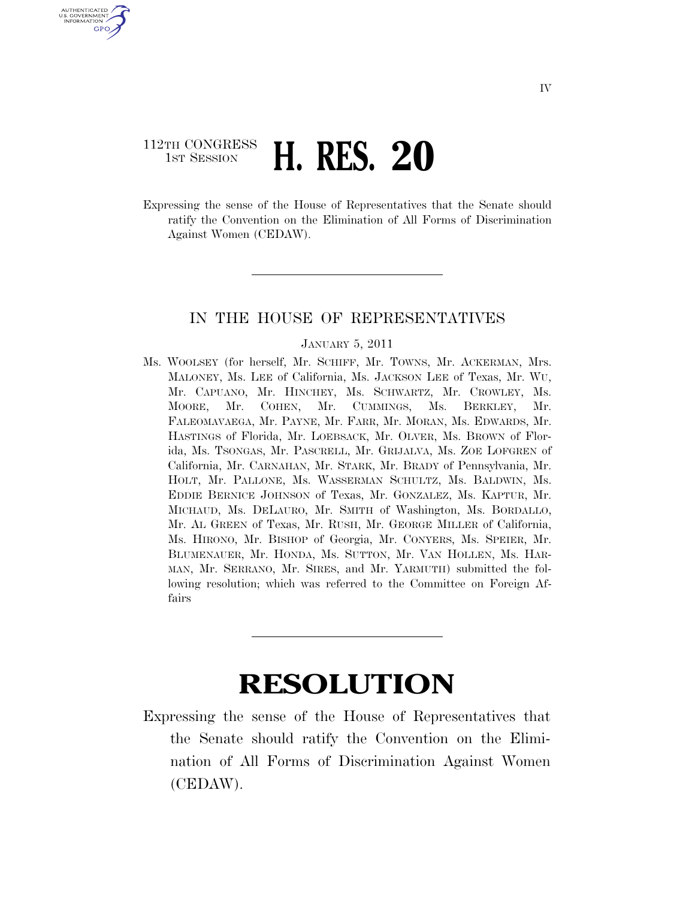## 112TH CONGRESS **1ST SESSION H. RES. 20**

U.S. GOVERNMENT **GPO** 

> Expressing the sense of the House of Representatives that the Senate should ratify the Convention on the Elimination of All Forms of Discrimination Against Women (CEDAW).

## IN THE HOUSE OF REPRESENTATIVES

## JANUARY 5, 2011

Ms. WOOLSEY (for herself, Mr. SCHIFF, Mr. TOWNS, Mr. ACKERMAN, Mrs. MALONEY, Ms. LEE of California, Ms. JACKSON LEE of Texas, Mr. WU, Mr. CAPUANO, Mr. HINCHEY, Ms. SCHWARTZ, Mr. CROWLEY, Ms. MOORE, Mr. COHEN, Mr. CUMMINGS, Ms. BERKLEY, Mr. FALEOMAVAEGA, Mr. PAYNE, Mr. FARR, Mr. MORAN, Ms. EDWARDS, Mr. HASTINGS of Florida, Mr. LOEBSACK, Mr. OLVER, Ms. BROWN of Florida, Ms. TSONGAS, Mr. PASCRELL, Mr. GRIJALVA, Ms. ZOE LOFGREN of California, Mr. CARNAHAN, Mr. STARK, Mr. BRADY of Pennsylvania, Mr. HOLT, Mr. PALLONE, Ms. WASSERMAN SCHULTZ, Ms. BALDWIN, Ms. EDDIE BERNICE JOHNSON of Texas, Mr. GONZALEZ, Ms. KAPTUR, Mr. MICHAUD, Ms. DELAURO, Mr. SMITH of Washington, Ms. BORDALLO, Mr. AL GREEN of Texas, Mr. RUSH, Mr. GEORGE MILLER of California, Ms. HIRONO, Mr. BISHOP of Georgia, Mr. CONYERS, Ms. SPEIER, Mr. BLUMENAUER, Mr. HONDA, Ms. SUTTON, Mr. VAN HOLLEN, Ms. HAR-MAN, Mr. SERRANO, Mr. SIRES, and Mr. YARMUTH) submitted the following resolution; which was referred to the Committee on Foreign Affairs

## **RESOLUTION**

Expressing the sense of the House of Representatives that the Senate should ratify the Convention on the Elimination of All Forms of Discrimination Against Women (CEDAW).